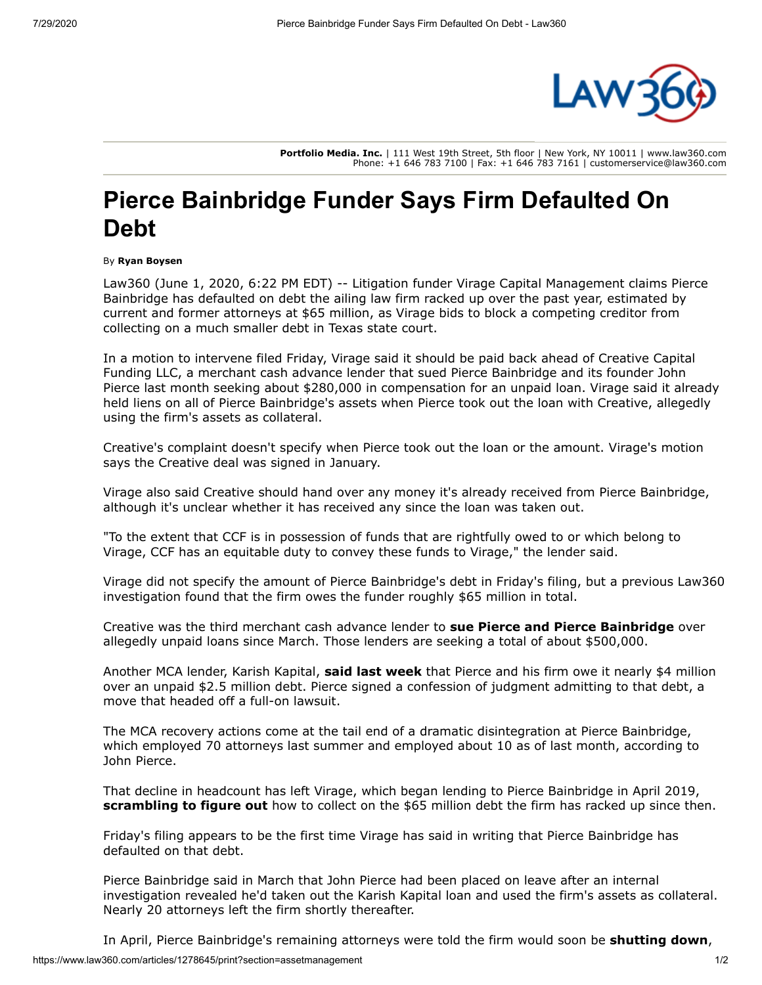

**Portfolio Media. Inc.** | 111 West 19th Street, 5th floor | New York, NY 10011 | www.law360.com Phone: +1 646 783 7100 | Fax: +1 646 783 7161 | customerservice@law360.com

## **Pierce Bainbridge Funder Says Firm Defaulted On Debt**

## By **Ryan Boysen**

[Law360 \(June 1, 2020, 6:22 PM EDT\) -- Litigation funder V](https://www.law360.com/firms/pierce-bainbridge)[irage Capital Management](https://www.law360.com/companies/virage-capital-management-lp) [claims Pierce](https://www.law360.com/firms/pierce-bainbridge) Bainbridge has defaulted on debt the ailing law firm racked up over the past year, estimated by current and former attorneys at \$65 million, as Virage bids to block a competing creditor from collecting on a much smaller debt in Texas state court.

In a motion to intervene filed Friday, Virage said it should be paid back ahead of Creative Capital Funding LLC, a merchant cash advance lender that sued Pierce Bainbridge and its founder John Pierce last month seeking about \$280,000 in compensation for an unpaid loan. Virage said it already held liens on all of Pierce Bainbridge's assets when Pierce took out the loan with Creative, allegedly using the firm's assets as collateral.

Creative's complaint doesn't specify when Pierce took out the loan or the amount. Virage's motion says the Creative deal was signed in January.

Virage also said Creative should hand over any money it's already received from Pierce Bainbridge, although it's unclear whether it has received any since the loan was taken out.

"To the extent that CCF is in possession of funds that are rightfully owed to or which belong to Virage, CCF has an equitable duty to convey these funds to Virage," the lender said.

Virage did not specify the amount of Pierce Bainbridge's debt in Friday's filing, but a previous Law360 investigation found that the firm owes the funder roughly \$65 million in total.

Creative was the third merchant cash advance lender to **[sue Pierce and Pierce Bainbridge](https://www.law360.com/articles/1269699)** over allegedly unpaid loans since March. Those lenders are seeking a total of about \$500,000.

Another MCA lender, Karish Kapital, **[said last week](https://www.law360.com/articles/1277500/pierce-bainbridge-founder-cops-to-new-4m-unpaid-debt)** that Pierce and his firm owe it nearly \$4 million over an unpaid \$2.5 million debt. Pierce signed a confession of judgment admitting to that debt, a move that headed off a full-on lawsuit.

The MCA recovery actions come at the tail end of a dramatic disintegration at Pierce Bainbridge, which employed 70 attorneys last summer and employed about 10 as of last month, according to John Pierce.

That decline in headcount has left Virage, which began lending to Pierce Bainbridge in April 2019, **[scrambling to figure out](https://www.law360.com/articles/1266520/pierce-bainbridge-funder-targets-ex-partners-in-debt-chase)** how to collect on the \$65 million debt the firm has racked up since then.

Friday's filing appears to be the first time Virage has said in writing that Pierce Bainbridge has defaulted on that debt.

Pierce Bainbridge said in March that John Pierce had been placed on leave after an internal investigation revealed he'd taken out the Karish Kapital loan and used the firm's assets as collateral. Nearly 20 attorneys left the firm shortly thereafter.

In April, Pierce Bainbridge's remaining attorneys were told the firm would soon be **[shutting down](https://www.law360.com/articles/1261904/pierce-bainbridge-acting-head-3-name-partners-resign)**,